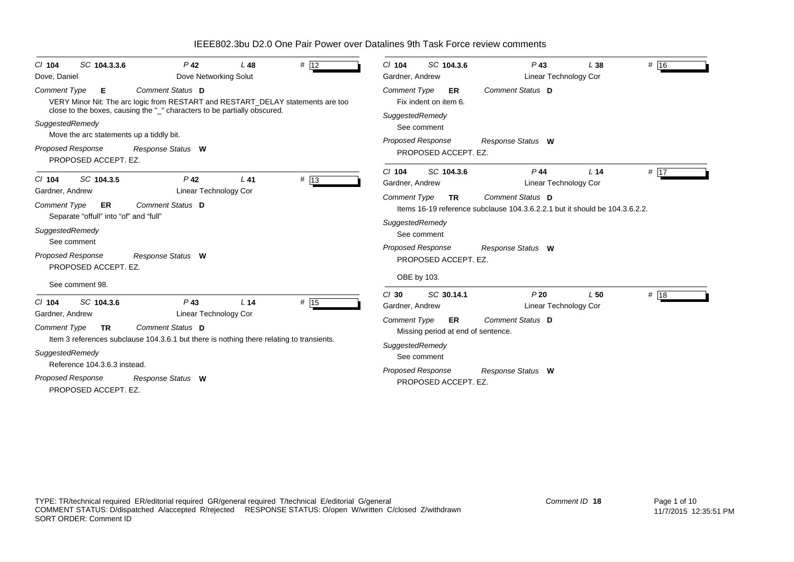| # 12                                                                                                                                                                                                                                                                                                                                         | SC 104.3.6                                                                                                                                                                 |
|----------------------------------------------------------------------------------------------------------------------------------------------------------------------------------------------------------------------------------------------------------------------------------------------------------------------------------------------|----------------------------------------------------------------------------------------------------------------------------------------------------------------------------|
| SC 104.3.3.6                                                                                                                                                                                                                                                                                                                                 | # 16                                                                                                                                                                       |
| $P$ 42                                                                                                                                                                                                                                                                                                                                       | $P$ 43                                                                                                                                                                     |
| $L$ 48                                                                                                                                                                                                                                                                                                                                       | $CI$ 104                                                                                                                                                                   |
| $CI$ 104                                                                                                                                                                                                                                                                                                                                     | L38                                                                                                                                                                        |
| Dove Networking Solut                                                                                                                                                                                                                                                                                                                        | Linear Technology Cor                                                                                                                                                      |
| Dove, Daniel                                                                                                                                                                                                                                                                                                                                 | Gardner, Andrew                                                                                                                                                            |
| Comment Status D<br><b>Comment Type</b><br>Е<br>VERY Minor Nit: The arc logic from RESTART and RESTART_DELAY statements are too<br>close to the boxes, causing the "_" characters to be partially obscured.<br>SuggestedRemedy<br>Move the arc statements up a tiddly bit.<br>Proposed Response<br>Response Status W<br>PROPOSED ACCEPT. EZ. | Comment Status D<br>Comment Type<br>ER<br>Fix indent on item 6.<br>SuggestedRemedy<br>See comment<br><b>Proposed Response</b><br>Response Status W<br>PROPOSED ACCEPT. EZ. |
| P <sub>42</sub>                                                                                                                                                                                                                                                                                                                              | # $\overline{17}$                                                                                                                                                          |
| # 13                                                                                                                                                                                                                                                                                                                                         | $Cl$ 104                                                                                                                                                                   |
| SC 104.3.5                                                                                                                                                                                                                                                                                                                                   | SC 104.3.6                                                                                                                                                                 |
| $L$ 41                                                                                                                                                                                                                                                                                                                                       | $P$ 44                                                                                                                                                                     |
| $CI$ 104                                                                                                                                                                                                                                                                                                                                     | L <sub>14</sub>                                                                                                                                                            |
| Linear Technology Cor                                                                                                                                                                                                                                                                                                                        | Gardner, Andrew                                                                                                                                                            |
| Gardner, Andrew                                                                                                                                                                                                                                                                                                                              | Linear Technology Cor                                                                                                                                                      |
| Comment Status D                                                                                                                                                                                                                                                                                                                             | Comment Status D                                                                                                                                                           |
| <b>Comment Type</b>                                                                                                                                                                                                                                                                                                                          | <b>Comment Type</b>                                                                                                                                                        |
| <b>ER</b>                                                                                                                                                                                                                                                                                                                                    | <b>TR</b>                                                                                                                                                                  |
| Separate "offull" into "of" and "full"                                                                                                                                                                                                                                                                                                       | Items 16-19 reference subclause 104.3.6.2.2.1 but it should be 104.3.6.2.2.                                                                                                |
| SuggestedRemedy                                                                                                                                                                                                                                                                                                                              | SuggestedRemedy                                                                                                                                                            |
| See comment                                                                                                                                                                                                                                                                                                                                  | See comment                                                                                                                                                                |
| Proposed Response                                                                                                                                                                                                                                                                                                                            | <b>Proposed Response</b>                                                                                                                                                   |
| Response Status W                                                                                                                                                                                                                                                                                                                            | Response Status W                                                                                                                                                          |
| PROPOSED ACCEPT. EZ.                                                                                                                                                                                                                                                                                                                         | PROPOSED ACCEPT. EZ.                                                                                                                                                       |
| See comment 98.                                                                                                                                                                                                                                                                                                                              | OBE by 103.                                                                                                                                                                |
| # 15                                                                                                                                                                                                                                                                                                                                         | SC 30.14.1                                                                                                                                                                 |
| SC 104.3.6                                                                                                                                                                                                                                                                                                                                   | P20                                                                                                                                                                        |
| $P$ 43                                                                                                                                                                                                                                                                                                                                       | # 18                                                                                                                                                                       |
| L <sub>14</sub>                                                                                                                                                                                                                                                                                                                              | $Cl$ 30                                                                                                                                                                    |
| $Cl$ 104                                                                                                                                                                                                                                                                                                                                     | L50                                                                                                                                                                        |
| Gardner, Andrew                                                                                                                                                                                                                                                                                                                              | Linear Technology Cor                                                                                                                                                      |
| <b>Linear Technology Cor</b>                                                                                                                                                                                                                                                                                                                 | Gardner, Andrew                                                                                                                                                            |
| Comment Status D                                                                                                                                                                                                                                                                                                                             | <b>Comment Type</b>                                                                                                                                                        |
| <b>Comment Type</b>                                                                                                                                                                                                                                                                                                                          | Comment Status D                                                                                                                                                           |
| <b>TR</b>                                                                                                                                                                                                                                                                                                                                    | ER                                                                                                                                                                         |
| Item 3 references subclause 104.3.6.1 but there is nothing there relating to transients.                                                                                                                                                                                                                                                     | Missing period at end of sentence.                                                                                                                                         |
| SuggestedRemedy                                                                                                                                                                                                                                                                                                                              | SuggestedRemedy                                                                                                                                                            |
| Reference 104.3.6.3 instead.                                                                                                                                                                                                                                                                                                                 | See comment                                                                                                                                                                |
| Proposed Response                                                                                                                                                                                                                                                                                                                            | <b>Proposed Response</b>                                                                                                                                                   |
| Response Status W                                                                                                                                                                                                                                                                                                                            | Response Status W                                                                                                                                                          |
| PROPOSED ACCEPT. EZ.                                                                                                                                                                                                                                                                                                                         | PROPOSED ACCEPT. EZ.                                                                                                                                                       |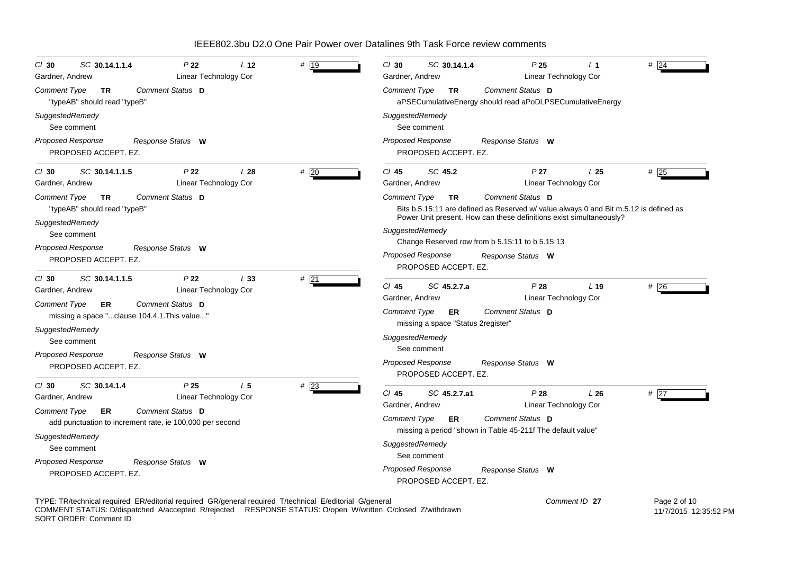| SC 30.14.1.1.4                                                                                                                                                                                                                       | $Cl$ 30                                                                                                                                                                                                                                       |
|--------------------------------------------------------------------------------------------------------------------------------------------------------------------------------------------------------------------------------------|-----------------------------------------------------------------------------------------------------------------------------------------------------------------------------------------------------------------------------------------------|
| P <sub>22</sub>                                                                                                                                                                                                                      | SC 30.14.1.4                                                                                                                                                                                                                                  |
| # 19                                                                                                                                                                                                                                 | P <sub>25</sub>                                                                                                                                                                                                                               |
| $Cl$ 30                                                                                                                                                                                                                              | # 24                                                                                                                                                                                                                                          |
| L <sub>12</sub>                                                                                                                                                                                                                      | L 1                                                                                                                                                                                                                                           |
| Linear Technology Cor                                                                                                                                                                                                                | Linear Technology Cor                                                                                                                                                                                                                         |
| Gardner, Andrew                                                                                                                                                                                                                      | Gardner, Andrew                                                                                                                                                                                                                               |
| Comment Status D                                                                                                                                                                                                                     | Comment Status D                                                                                                                                                                                                                              |
| <b>Comment Type</b>                                                                                                                                                                                                                  | Comment Type                                                                                                                                                                                                                                  |
| <b>TR</b>                                                                                                                                                                                                                            | TR.                                                                                                                                                                                                                                           |
| "typeAB" should read "typeB"                                                                                                                                                                                                         | aPSECumulativeEnergy should read aPoDLPSECumulativeEnergy                                                                                                                                                                                     |
| SuggestedRemedy                                                                                                                                                                                                                      | SuggestedRemedy                                                                                                                                                                                                                               |
| See comment                                                                                                                                                                                                                          | See comment                                                                                                                                                                                                                                   |
| <b>Proposed Response</b>                                                                                                                                                                                                             | <b>Proposed Response</b>                                                                                                                                                                                                                      |
| Response Status W                                                                                                                                                                                                                    | Response Status W                                                                                                                                                                                                                             |
| PROPOSED ACCEPT. EZ.                                                                                                                                                                                                                 | PROPOSED ACCEPT. EZ.                                                                                                                                                                                                                          |
| P <sub>22</sub>                                                                                                                                                                                                                      | SC 45.2                                                                                                                                                                                                                                       |
| L28                                                                                                                                                                                                                                  | P <sub>27</sub>                                                                                                                                                                                                                               |
| #20                                                                                                                                                                                                                                  | L <sub>25</sub>                                                                                                                                                                                                                               |
| SC 30.14.1.1.5                                                                                                                                                                                                                       | #25                                                                                                                                                                                                                                           |
| $CI$ 30                                                                                                                                                                                                                              | $CI$ 45                                                                                                                                                                                                                                       |
| Linear Technology Cor                                                                                                                                                                                                                | Gardner, Andrew                                                                                                                                                                                                                               |
| Gardner, Andrew                                                                                                                                                                                                                      | Linear Technology Cor                                                                                                                                                                                                                         |
| Comment Status D                                                                                                                                                                                                                     | Comment Status D                                                                                                                                                                                                                              |
| Comment Type                                                                                                                                                                                                                         | Comment Type                                                                                                                                                                                                                                  |
| TR                                                                                                                                                                                                                                   | <b>TR</b>                                                                                                                                                                                                                                     |
| "typeAB" should read "typeB"                                                                                                                                                                                                         | Bits b.5.15:11 are defined as Reserved w/ value always 0 and Bit m.5.12 is defined as                                                                                                                                                         |
| SuggestedRemedy                                                                                                                                                                                                                      | Power Unit present. How can these definitions exist simultaneously?                                                                                                                                                                           |
| See comment                                                                                                                                                                                                                          | SuggestedRemedy                                                                                                                                                                                                                               |
| Proposed Response                                                                                                                                                                                                                    | Change Reserved row from b 5.15:11 to b 5.15:13                                                                                                                                                                                               |
| Response Status W                                                                                                                                                                                                                    | <b>Proposed Response</b>                                                                                                                                                                                                                      |
| PROPOSED ACCEPT. EZ.                                                                                                                                                                                                                 | Response Status W                                                                                                                                                                                                                             |
| $#$ 21<br>SC 30.14.1.1.5<br>P <sub>22</sub><br>L33<br>$Cl$ 30<br>Linear Technology Cor<br>Gardner, Andrew<br>Comment Status D<br><b>Comment Type</b><br><b>ER</b><br>missing a space "clause 104.4.1. This value"<br>SuggestedRemedy | PROPOSED ACCEPT. EZ.<br>$CI$ 45<br>SC 45.2.7.a<br>#26<br>P28<br>L <sub>19</sub><br><b>Linear Technology Cor</b><br>Gardner, Andrew<br>Comment Status D<br><b>Comment Type</b><br>ER.<br>missing a space "Status 2register"<br>SuggestedRemedy |
| See comment                                                                                                                                                                                                                          | See comment                                                                                                                                                                                                                                   |
| Proposed Response                                                                                                                                                                                                                    | <b>Proposed Response</b>                                                                                                                                                                                                                      |
| Response Status W                                                                                                                                                                                                                    | Response Status W                                                                                                                                                                                                                             |
| PROPOSED ACCEPT. EZ.                                                                                                                                                                                                                 | PROPOSED ACCEPT. EZ.                                                                                                                                                                                                                          |
| SC 30.14.1.4                                                                                                                                                                                                                         | P28                                                                                                                                                                                                                                           |
| P <sub>25</sub>                                                                                                                                                                                                                      | # $\overline{27}$                                                                                                                                                                                                                             |
| L <sub>5</sub>                                                                                                                                                                                                                       | $CI$ 45                                                                                                                                                                                                                                       |
| $#$ 23                                                                                                                                                                                                                               | SC 45.2.7.a1                                                                                                                                                                                                                                  |
| $CI$ 30                                                                                                                                                                                                                              | L26                                                                                                                                                                                                                                           |
| Linear Technology Cor                                                                                                                                                                                                                | <b>Linear Technology Cor</b>                                                                                                                                                                                                                  |
| Gardner, Andrew                                                                                                                                                                                                                      | Gardner, Andrew                                                                                                                                                                                                                               |
| Comment Status D                                                                                                                                                                                                                     | Comment Status D                                                                                                                                                                                                                              |
| Comment Type                                                                                                                                                                                                                         | Comment Type                                                                                                                                                                                                                                  |
| ER.                                                                                                                                                                                                                                  | ER                                                                                                                                                                                                                                            |
| add punctuation to increment rate, ie 100,000 per second                                                                                                                                                                             | missing a period "shown in Table 45-211f The default value"                                                                                                                                                                                   |
| SuggestedRemedy                                                                                                                                                                                                                      | SuggestedRemedy                                                                                                                                                                                                                               |
| See comment                                                                                                                                                                                                                          | See comment                                                                                                                                                                                                                                   |
| <b>Proposed Response</b>                                                                                                                                                                                                             | <b>Proposed Response</b>                                                                                                                                                                                                                      |
| Response Status W                                                                                                                                                                                                                    | Response Status W                                                                                                                                                                                                                             |
| PROPOSED ACCEPT. EZ.                                                                                                                                                                                                                 | PROPOSED ACCEPT. EZ.                                                                                                                                                                                                                          |

TYPE: TR/technical required ER/editorial required GR/general required T/technical E/editorial G/general COMMENT STATUS: D/dispatched A/accepted R/rejected RESPONSE STATUS: O/open W/written C/closed Z/withdrawn SORT ORDER: Comment ID  Page 2 of 10 11/7/2015 12:35:52 PM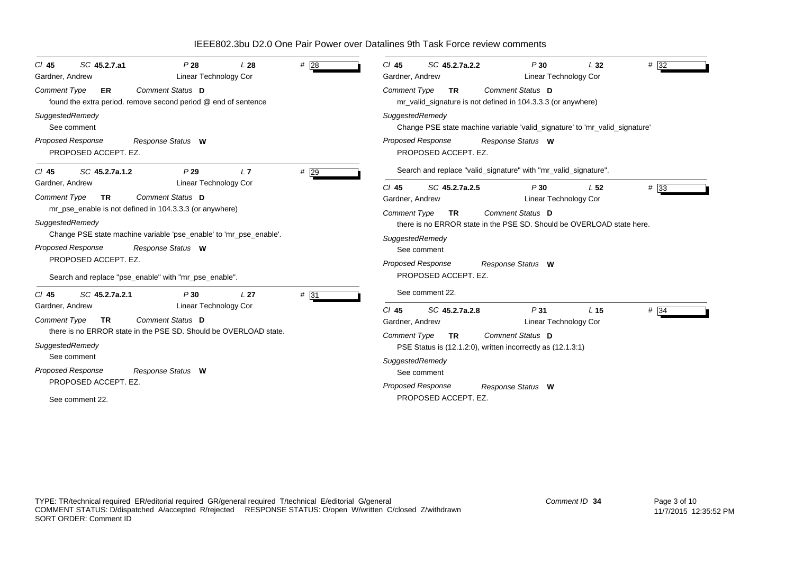| SC 45.2.7.a1<br>$CI$ 45<br>Gardner, Andrew                                                                                                                                         | P28<br>Linear Technology Cor                                                                                                                                                                                                                                           | L28             | #28  | $#$ 32<br>$CI$ 45<br>SC 45.2.7a.2.2<br>P30<br>L32<br>Gardner, Andrew<br>Linear Technology Cor                                                                                                                                                                                                                                                                                                                                              |
|------------------------------------------------------------------------------------------------------------------------------------------------------------------------------------|------------------------------------------------------------------------------------------------------------------------------------------------------------------------------------------------------------------------------------------------------------------------|-----------------|------|--------------------------------------------------------------------------------------------------------------------------------------------------------------------------------------------------------------------------------------------------------------------------------------------------------------------------------------------------------------------------------------------------------------------------------------------|
| <b>Comment Type</b><br>ER                                                                                                                                                          | Comment Status D<br>found the extra period. remove second period @ end of sentence                                                                                                                                                                                     |                 |      | Comment Status D<br><b>Comment Type</b><br><b>TR</b><br>mr_valid_signature is not defined in 104.3.3.3 (or anywhere)                                                                                                                                                                                                                                                                                                                       |
| SuggestedRemedy<br>See comment<br>Proposed Response<br>PROPOSED ACCEPT. EZ.                                                                                                        | Response Status W                                                                                                                                                                                                                                                      |                 |      | SuggestedRemedy<br>Change PSE state machine variable 'valid_signature' to 'mr_valid_signature'<br><b>Proposed Response</b><br>Response Status W<br>PROPOSED ACCEPT. EZ.                                                                                                                                                                                                                                                                    |
| SC 45.2.7a.1.2<br>$CI$ 45<br>Gardner, Andrew<br><b>Comment Type</b><br><b>TR</b><br>SuggestedRemedy<br><b>Proposed Response</b><br>PROPOSED ACCEPT. EZ.                            | P29<br><b>Linear Technology Cor</b><br>Comment Status D<br>mr_pse_enable is not defined in 104.3.3.3 (or anywhere)<br>Change PSE state machine variable 'pse_enable' to 'mr_pse_enable'.<br>Response Status W<br>Search and replace "pse_enable" with "mr_pse_enable". | L7              | # 29 | Search and replace "valid_signature" with "mr_valid_signature".<br>SC 45.2.7a.2.5<br>$# \overline{33}$<br>$CI$ 45<br>P30<br>L <sub>52</sub><br><b>Linear Technology Cor</b><br>Gardner, Andrew<br>Comment Status D<br><b>Comment Type</b><br><b>TR</b><br>there is no ERROR state in the PSE SD. Should be OVERLOAD state here.<br>SuggestedRemedy<br>See comment<br><b>Proposed Response</b><br>Response Status W<br>PROPOSED ACCEPT. EZ. |
| SC 45.2.7a.2.1<br>$CI$ 45<br>Gardner, Andrew<br><b>Comment Type</b><br><b>TR</b><br>SuggestedRemedy<br>See comment<br>Proposed Response<br>PROPOSED ACCEPT. EZ.<br>See comment 22. | P30<br>Linear Technology Cor<br>Comment Status D<br>there is no ERROR state in the PSE SD. Should be OVERLOAD state.<br>Response Status W                                                                                                                              | L <sub>27</sub> | # 31 | See comment 22.<br>$# \overline{34}$<br>$Cl$ 45<br>SC 45.2.7a.2.8<br>P <sub>31</sub><br>L <sub>15</sub><br>Gardner, Andrew<br><b>Linear Technology Cor</b><br>Comment Status D<br><b>Comment Type</b><br><b>TR</b><br>PSE Status is (12.1.2:0), written incorrectly as (12.1.3:1)<br>SuggestedRemedy<br>See comment<br><b>Proposed Response</b><br>Response Status W<br>PROPOSED ACCEPT. EZ.                                               |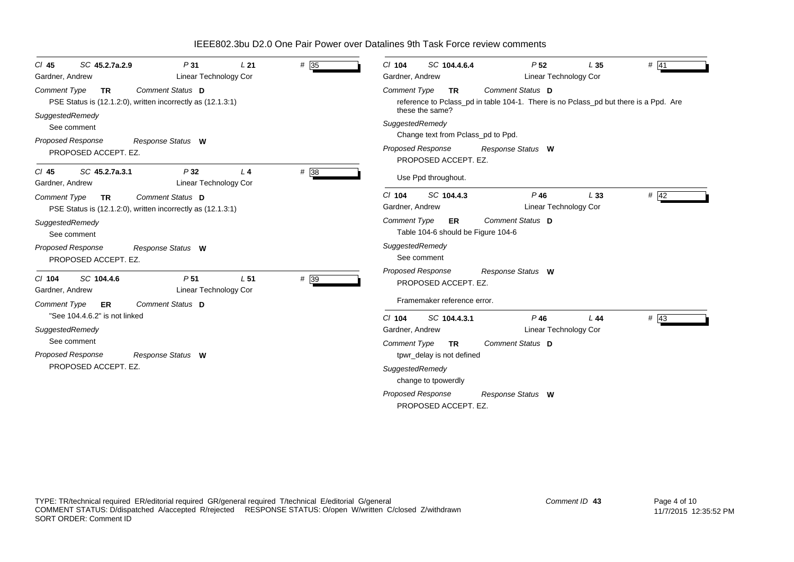| # 35<br>SC 45.2.7a.2.9<br>P <sub>31</sub><br>L21<br>$CI$ 45<br>Linear Technology Cor<br>Gardner, Andrew                       | SC 104.4.6.4<br>P <sub>52</sub><br>$#$ 41<br>$Cl$ 104<br>L <sub>35</sub><br>Linear Technology Cor<br>Gardner, Andrew                                            |  |  |  |  |  |
|-------------------------------------------------------------------------------------------------------------------------------|-----------------------------------------------------------------------------------------------------------------------------------------------------------------|--|--|--|--|--|
| Comment Status D<br><b>Comment Type</b><br><b>TR</b><br>PSE Status is (12.1.2.0), written incorrectly as (12.1.3.1)           | Comment Status D<br><b>Comment Type</b><br><b>TR</b><br>reference to Pclass_pd in table 104-1. There is no Pclass_pd but there is a Ppd. Are<br>these the same? |  |  |  |  |  |
| SuggestedRemedy<br>See comment                                                                                                | SuggestedRemedy<br>Change text from Pclass_pd to Ppd.                                                                                                           |  |  |  |  |  |
| Proposed Response<br>Response Status W<br>PROPOSED ACCEPT. EZ.                                                                | Proposed Response<br>Response Status W<br>PROPOSED ACCEPT. EZ.                                                                                                  |  |  |  |  |  |
| #38<br>SC 45.2.7a.3.1<br>P32<br>L <sub>4</sub><br>$CI$ 45<br>Linear Technology Cor<br>Gardner, Andrew                         | Use Ppd throughout.                                                                                                                                             |  |  |  |  |  |
| Comment Status D<br><b>Comment Type</b><br><b>TR</b><br>PSE Status is (12.1.2:0), written incorrectly as (12.1.3:1)           | # 42<br>$Cl$ 104<br>SC 104.4.3<br>$P$ 46<br>L33<br>Gardner, Andrew<br>Linear Technology Cor                                                                     |  |  |  |  |  |
| SuggestedRemedy<br>See comment                                                                                                | Comment Status D<br><b>Comment Type</b><br>ER<br>Table 104-6 should be Figure 104-6                                                                             |  |  |  |  |  |
| Proposed Response<br>Response Status W<br>PROPOSED ACCEPT. EZ.                                                                | SuggestedRemedy<br>See comment                                                                                                                                  |  |  |  |  |  |
| $# \overline{39}$<br>SC 104.4.6<br>P <sub>51</sub><br>L <sub>51</sub><br>$Cl$ 104<br>Linear Technology Cor<br>Gardner, Andrew | <b>Proposed Response</b><br>Response Status W<br>PROPOSED ACCEPT. EZ.                                                                                           |  |  |  |  |  |
| Comment Status D<br><b>Comment Type</b><br>ER                                                                                 | Framemaker reference error.                                                                                                                                     |  |  |  |  |  |
| "See 104.4.6.2" is not linked<br>SuggestedRemedy<br>See comment                                                               | $#$ 43<br>$Cl$ 104<br>SC 104.4.3.1<br>$P$ 46<br>L44<br><b>Linear Technology Cor</b><br>Gardner, Andrew<br>Comment Status D                                      |  |  |  |  |  |
| Proposed Response<br>Response Status W<br>PROPOSED ACCEPT. EZ.                                                                | <b>Comment Type</b><br><b>TR</b><br>tpwr_delay is not defined<br>SuggestedRemedy<br>change to tpowerdly                                                         |  |  |  |  |  |
|                                                                                                                               | <b>Proposed Response</b><br>Response Status W<br>PROPOSED ACCEPT. EZ.                                                                                           |  |  |  |  |  |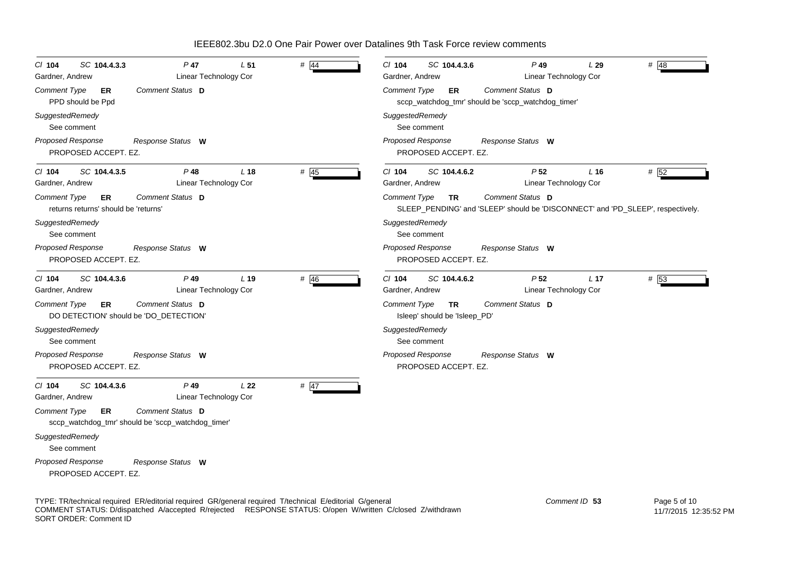| CI 104<br>SC 104.4.3.3<br>Gardner, Andrew                           | P 47<br>Linear Technology Cor                                          | L <sub>51</sub> | $#$ 44 | $Cl$ 104<br>SC 104.4.3.6<br>$P$ 49<br># $48$<br>L29<br>Gardner, Andrew<br>Linear Technology Cor                           |  |
|---------------------------------------------------------------------|------------------------------------------------------------------------|-----------------|--------|---------------------------------------------------------------------------------------------------------------------------|--|
| <b>Comment Type</b><br>ER<br>PPD should be Ppd                      | Comment Status D                                                       |                 |        | Comment Status D<br><b>Comment Type</b><br>ER<br>sccp_watchdog_tmr' should be 'sccp_watchdog_timer'                       |  |
| SuggestedRemedy<br>See comment                                      |                                                                        |                 |        | SuggestedRemedy<br>See comment                                                                                            |  |
| Proposed Response<br>PROPOSED ACCEPT. EZ.                           | Response Status W                                                      |                 |        | Proposed Response<br>Response Status W<br>PROPOSED ACCEPT. EZ.                                                            |  |
| SC 104.4.3.5<br>$CI$ 104<br>Gardner, Andrew                         | P 48<br>Linear Technology Cor                                          | L <sub>18</sub> | $#$ 45 | # 52<br>SC 104.4.6.2<br>P <sub>52</sub><br>$CI$ 104<br>$L$ 16<br>Linear Technology Cor<br>Gardner, Andrew                 |  |
| Comment Type<br>ER<br>returns returns' should be 'returns'          | Comment Status D                                                       |                 |        | Comment Type<br>Comment Status D<br>TR<br>SLEEP_PENDING' and 'SLEEP' should be 'DISCONNECT' and 'PD_SLEEP', respectively. |  |
| SuggestedRemedy<br>See comment                                      |                                                                        |                 |        | SuggestedRemedy<br>See comment                                                                                            |  |
| Proposed Response<br>PROPOSED ACCEPT. EZ.                           | Response Status W                                                      |                 |        | <b>Proposed Response</b><br>Response Status W<br>PROPOSED ACCEPT. EZ.                                                     |  |
| SC 104.4.3.6<br>$CI$ 104<br>Gardner, Andrew                         | P 49<br>Linear Technology Cor                                          | $L$ 19          | # 46   | # 53<br>$Cl$ 104<br>SC 104.4.6.2<br>P <sub>52</sub><br>L <sub>17</sub><br>Linear Technology Cor<br>Gardner, Andrew        |  |
| Comment Type<br><b>ER</b><br>DO DETECTION' should be 'DO_DETECTION' | Comment Status D                                                       |                 |        | Comment Status D<br>Comment Type<br><b>TR</b><br>Isleep' should be 'Isleep_PD'                                            |  |
| SuggestedRemedy<br>See comment                                      |                                                                        |                 |        | SuggestedRemedy<br>See comment                                                                                            |  |
| Proposed Response<br>PROPOSED ACCEPT. EZ.                           | Response Status W                                                      |                 |        | <b>Proposed Response</b><br>Response Status W<br>PROPOSED ACCEPT. EZ.                                                     |  |
| SC 104.4.3.6<br>$CI$ 104<br>Gardner, Andrew                         | $P$ 49<br><b>Linear Technology Cor</b>                                 | L <sub>22</sub> | $#$ 47 |                                                                                                                           |  |
| <b>Comment Type</b><br>ER                                           | Comment Status D<br>sccp_watchdog_tmr' should be 'sccp_watchdog_timer' |                 |        |                                                                                                                           |  |
| SuggestedRemedy<br>See comment                                      |                                                                        |                 |        |                                                                                                                           |  |
| Proposed Response<br>PROPOSED ACCEPT. EZ.                           | Response Status W                                                      |                 |        |                                                                                                                           |  |

TYPE: TR/technical required ER/editorial required GR/general required T/technical E/editorial G/general COMMENT STATUS: D/dispatched A/accepted R/rejected RESPONSE STATUS: O/open W/written C/closed Z/withdrawn SORT ORDER: Comment ID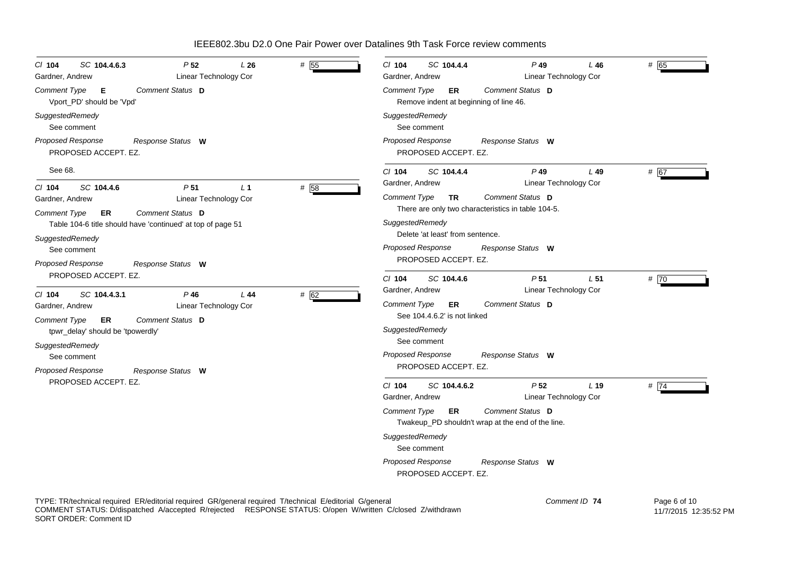| SC 104.4.6.3<br>P <sub>52</sub><br># $55$<br>$Cl$ 104<br>L26<br>Linear Technology Cor<br>Gardner, Andrew                                                                                                                                                                                                    | SC 104.4.4<br>$Cl$ 104<br>$P$ 49<br>L46<br>Linear Technology Cor<br>Gardner, Andrew                                                                                                                                                                                              | # 65 |
|-------------------------------------------------------------------------------------------------------------------------------------------------------------------------------------------------------------------------------------------------------------------------------------------------------------|----------------------------------------------------------------------------------------------------------------------------------------------------------------------------------------------------------------------------------------------------------------------------------|------|
| Comment Status D<br>Comment Type<br>E<br>Vport_PD' should be 'Vpd'                                                                                                                                                                                                                                          | Comment Status D<br><b>Comment Type</b><br>ER.<br>Remove indent at beginning of line 46.                                                                                                                                                                                         |      |
| SuggestedRemedy<br>See comment                                                                                                                                                                                                                                                                              | SuggestedRemedy<br>See comment                                                                                                                                                                                                                                                   |      |
| <b>Proposed Response</b><br>Response Status W<br>PROPOSED ACCEPT. EZ.                                                                                                                                                                                                                                       | <b>Proposed Response</b><br>Response Status W<br>PROPOSED ACCEPT. EZ.                                                                                                                                                                                                            |      |
| See 68.                                                                                                                                                                                                                                                                                                     | $Cl$ 104<br>SC 104.4.4<br>$P$ 49<br>$L$ 49                                                                                                                                                                                                                                       | # 67 |
| # 58<br>SC 104.4.6<br>P <sub>51</sub><br>L <sub>1</sub><br>$CI$ 104<br>Linear Technology Cor<br>Gardner, Andrew<br>Comment Status D<br><b>Comment Type</b><br>ER<br>Table 104-6 title should have 'continued' at top of page 51<br>SuggestedRemedy<br>See comment<br>Proposed Response<br>Response Status W | Linear Technology Cor<br>Gardner, Andrew<br><b>Comment Status D</b><br><b>Comment Type</b><br>TR.<br>There are only two characteristics in table 104-5.<br>SuggestedRemedy<br>Delete 'at least' from sentence.<br>Proposed Response<br>Response Status W<br>PROPOSED ACCEPT. EZ. |      |
| PROPOSED ACCEPT. EZ.                                                                                                                                                                                                                                                                                        | P <sub>51</sub><br>L <sub>51</sub><br>$Cl$ 104<br>SC 104.4.6                                                                                                                                                                                                                     | # 70 |
| # 62<br>SC 104.4.3.1<br>$P$ 46<br>L44<br>$CI$ 104<br>Linear Technology Cor<br>Gardner, Andrew<br>Comment Type<br>Comment Status D<br>ER<br>tpwr_delay' should be 'tpowerdly'                                                                                                                                | Linear Technology Cor<br>Gardner, Andrew<br>Comment Type<br>Comment Status D<br>ER.<br>See 104.4.6.2' is not linked<br>SuggestedRemedy<br>See comment                                                                                                                            |      |
| SuggestedRemedy<br>See comment<br><b>Proposed Response</b><br>Response Status W                                                                                                                                                                                                                             | <b>Proposed Response</b><br>Response Status W<br>PROPOSED ACCEPT. EZ.                                                                                                                                                                                                            |      |
| PROPOSED ACCEPT. EZ.                                                                                                                                                                                                                                                                                        | P <sub>52</sub><br>$CI$ 104<br>SC 104.4.6.2<br>L <sub>19</sub><br>Gardner, Andrew<br>Linear Technology Cor                                                                                                                                                                       | # 74 |
|                                                                                                                                                                                                                                                                                                             | <b>Comment Status D</b><br>Comment Type<br>ER.<br>Twakeup_PD shouldn't wrap at the end of the line.                                                                                                                                                                              |      |
|                                                                                                                                                                                                                                                                                                             | SuggestedRemedy<br>See comment                                                                                                                                                                                                                                                   |      |
|                                                                                                                                                                                                                                                                                                             | Proposed Response<br>Response Status W<br>PROPOSED ACCEPT. EZ.                                                                                                                                                                                                                   |      |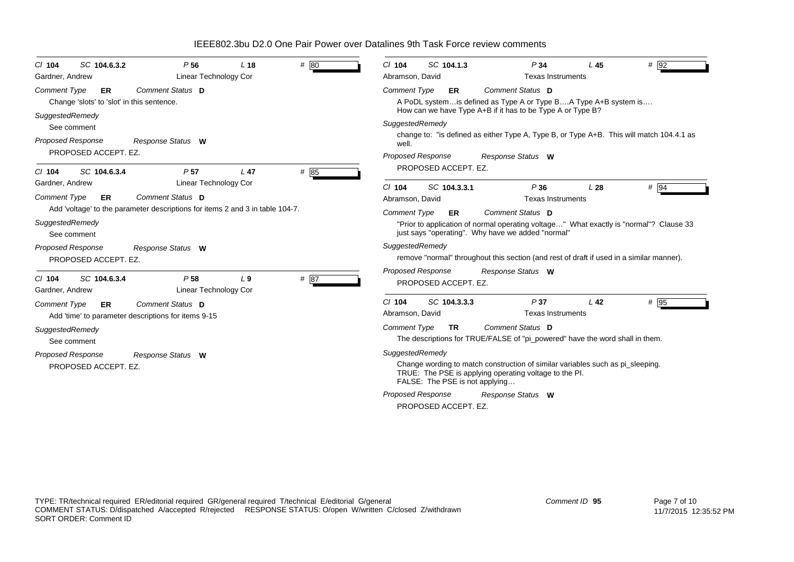| SC 104.6.3.2<br>$Cl$ 104<br>Gardner, Andrew                                                                                                      | P <sub>56</sub><br>Linear Technology Cor        | L <sub>18</sub> | # 80   | $Cl$ 104<br>Abramson, David                                                                                                                        | SC 104.1.3                     | P34<br><b>Texas Instruments</b>                                                                                                               | L45             | $\#$ 92 |  |
|--------------------------------------------------------------------------------------------------------------------------------------------------|-------------------------------------------------|-----------------|--------|----------------------------------------------------------------------------------------------------------------------------------------------------|--------------------------------|-----------------------------------------------------------------------------------------------------------------------------------------------|-----------------|---------|--|
| <b>Comment Type</b><br>ER<br>Change 'slots' to 'slot' in this sentence.                                                                          | Comment Status D                                |                 |        | <b>Comment Type</b>                                                                                                                                | ER                             | Comment Status D<br>A PoDL system is defined as Type A or Type BA Type A+B system is                                                          |                 |         |  |
| SuggestedRemedy<br>See comment                                                                                                                   |                                                 |                 |        | SuggestedRemedy                                                                                                                                    |                                | How can we have Type A+B if it has to be Type A or Type B?                                                                                    |                 |         |  |
| <b>Proposed Response</b><br>PROPOSED ACCEPT. EZ.                                                                                                 | Response Status W                               |                 |        | change to: "is defined as either Type A, Type B, or Type A+B. This will match 104.4.1 as<br>well.<br><b>Proposed Response</b><br>Response Status W |                                |                                                                                                                                               |                 |         |  |
| SC 104.6.3.4<br>$CI$ 104                                                                                                                         | P <sub>57</sub>                                 | L <sub>47</sub> | # 85   |                                                                                                                                                    | PROPOSED ACCEPT. EZ.           |                                                                                                                                               |                 |         |  |
| Gardner, Andrew<br><b>Comment Type</b><br>ER<br>Add 'voltage' to the parameter descriptions for items 2 and 3 in table 104-7.<br>SuggestedRemedy | Linear Technology Cor<br>Comment Status D       |                 |        | C/104<br>Abramson, David<br><b>Comment Type</b>                                                                                                    | SC 104.3.3.1<br>ER             | P36<br><b>Texas Instruments</b><br>Comment Status D<br>"Prior to application of normal operating voltage" What exactly is "normal"? Clause 33 | L28             | $#$ 94  |  |
| See comment<br><b>Proposed Response</b><br>PROPOSED ACCEPT. EZ.                                                                                  | Response Status W                               |                 |        | SuggestedRemedy                                                                                                                                    |                                | just says "operating". Why have we added "normal"<br>remove "normal" throughout this section (and rest of draft if used in a similar manner). |                 |         |  |
| SC 104.6.3.4<br>$Cl$ 104<br>Gardner, Andrew                                                                                                      | P <sub>58</sub><br><b>Linear Technology Cor</b> | L <sub>9</sub>  | # $87$ | <b>Proposed Response</b>                                                                                                                           | PROPOSED ACCEPT. EZ.           | Response Status W                                                                                                                             |                 |         |  |
| <b>Comment Type</b><br>ER<br>Add 'time' to parameter descriptions for items 9-15                                                                 | Comment Status D                                |                 |        | $Cl$ 104<br>Abramson, David                                                                                                                        | SC 104.3.3.3                   | P37<br><b>Texas Instruments</b>                                                                                                               | L <sub>42</sub> | # 95    |  |
| SuggestedRemedy<br>See comment                                                                                                                   |                                                 |                 |        | <b>Comment Type</b>                                                                                                                                | <b>TR</b>                      | Comment Status D<br>The descriptions for TRUE/FALSE of "pi_powered" have the word shall in them.                                              |                 |         |  |
| Proposed Response<br>Response Status W<br>PROPOSED ACCEPT. EZ.                                                                                   |                                                 |                 |        | SuggestedRemedy                                                                                                                                    | FALSE: The PSE is not applying | Change wording to match construction of similar variables such as pigleeping.<br>TRUE: The PSE is applying operating voltage to the PI.       |                 |         |  |
|                                                                                                                                                  |                                                 |                 |        | <b>Proposed Response</b>                                                                                                                           | PROPOSED ACCEPT. EZ.           | Response Status W                                                                                                                             |                 |         |  |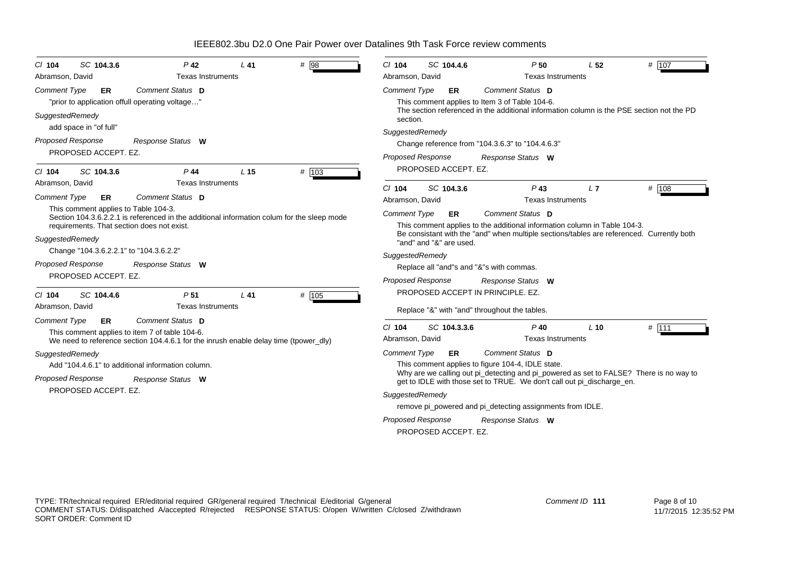| SC 104.3.6<br>$Cl$ 104                                                                                                                   | P <sub>42</sub>                                                                                                                        | $L$ 41          | $\#$ 98 | $Cl$ 104                                                                  | SC 104.4.6              | P50                                                                                                                                                              | L <sub>52</sub> | # $107$ |
|------------------------------------------------------------------------------------------------------------------------------------------|----------------------------------------------------------------------------------------------------------------------------------------|-----------------|---------|---------------------------------------------------------------------------|-------------------------|------------------------------------------------------------------------------------------------------------------------------------------------------------------|-----------------|---------|
| Abramson, David                                                                                                                          | <b>Texas Instruments</b>                                                                                                               |                 |         | Abramson, David                                                           |                         | <b>Texas Instruments</b>                                                                                                                                         |                 |         |
| <b>Comment Type</b><br><b>ER</b>                                                                                                         | Comment Status D<br>"prior to application offull operating voltage"                                                                    |                 |         | <b>Comment Type</b>                                                       | <b>ER</b>               | Comment Status D<br>This comment applies to Item 3 of Table 104-6.                                                                                               |                 |         |
| SuggestedRemedy<br>add space in "of full"                                                                                                |                                                                                                                                        |                 |         | section.                                                                  |                         | The section referenced in the additional information column is the PSE section not the PD                                                                        |                 |         |
|                                                                                                                                          |                                                                                                                                        |                 |         | SuggestedRemedy                                                           |                         |                                                                                                                                                                  |                 |         |
| Proposed Response<br>PROPOSED ACCEPT. EZ.                                                                                                | Response Status W                                                                                                                      |                 |         |                                                                           |                         | Change reference from "104.3.6.3" to "104.4.6.3"                                                                                                                 |                 |         |
|                                                                                                                                          |                                                                                                                                        |                 |         | <b>Proposed Response</b>                                                  |                         | Response Status W                                                                                                                                                |                 |         |
| SC 104.3.6<br>$Cl$ 104                                                                                                                   | $P$ 44                                                                                                                                 | L <sub>15</sub> | # 103   |                                                                           | PROPOSED ACCEPT. EZ.    |                                                                                                                                                                  |                 |         |
| Abramson, David                                                                                                                          | <b>Texas Instruments</b>                                                                                                               |                 |         | $Cl$ 104                                                                  | SC 104.3.6              | $P$ 43                                                                                                                                                           | L7              | # 108   |
| <b>Comment Type</b><br><b>ER</b>                                                                                                         | <b>Comment Status D</b>                                                                                                                |                 |         | Abramson, David                                                           |                         | <b>Texas Instruments</b>                                                                                                                                         |                 |         |
| This comment applies to Table 104-3.                                                                                                     |                                                                                                                                        |                 |         | <b>Comment Type</b>                                                       | ER                      | Comment Status D                                                                                                                                                 |                 |         |
| Section 104.3.6.2.2.1 is referenced in the additional information colum for the sleep mode<br>requirements. That section does not exist. |                                                                                                                                        |                 |         | This comment applies to the additional information column in Table 104-3. |                         |                                                                                                                                                                  |                 |         |
| SuggestedRemedy                                                                                                                          |                                                                                                                                        |                 |         |                                                                           |                         | Be consistant with the "and" when multiple sections/tables are referenced. Currently both                                                                        |                 |         |
| Change "104.3.6.2.2.1" to "104.3.6.2.2"                                                                                                  |                                                                                                                                        |                 |         |                                                                           | "and" and "&" are used. |                                                                                                                                                                  |                 |         |
| <b>Proposed Response</b>                                                                                                                 | Response Status W                                                                                                                      |                 |         | SuggestedRemedy                                                           |                         |                                                                                                                                                                  |                 |         |
| PROPOSED ACCEPT. EZ.                                                                                                                     |                                                                                                                                        |                 |         |                                                                           |                         | Replace all "and"s and "&"s with commas.                                                                                                                         |                 |         |
|                                                                                                                                          |                                                                                                                                        |                 |         | <b>Proposed Response</b>                                                  |                         | Response Status W                                                                                                                                                |                 |         |
| $Cl$ 104<br>SC 104.4.6                                                                                                                   | P <sub>51</sub>                                                                                                                        | $L$ 41          | # 105   |                                                                           |                         | PROPOSED ACCEPT IN PRINCIPLE. EZ.                                                                                                                                |                 |         |
| Abramson, David                                                                                                                          | <b>Texas Instruments</b>                                                                                                               |                 |         |                                                                           |                         | Replace "&" with "and" throughout the tables.                                                                                                                    |                 |         |
| <b>Comment Type</b><br><b>ER</b>                                                                                                         | Comment Status D                                                                                                                       |                 |         | $Cl$ 104                                                                  | SC 104.3.3.6            | $P$ 40                                                                                                                                                           | $L$ 10          | $#$ 111 |
|                                                                                                                                          | This comment applies to item 7 of table 104-6.<br>We need to reference section 104.4.6.1 for the inrush enable delay time (tpower dly) |                 |         | Abramson, David                                                           |                         | <b>Texas Instruments</b>                                                                                                                                         |                 |         |
| SuggestedRemedy                                                                                                                          |                                                                                                                                        |                 |         | <b>Comment Type</b>                                                       | ER                      | Comment Status D                                                                                                                                                 |                 |         |
|                                                                                                                                          | Add "104.4.6.1" to additional information column.                                                                                      |                 |         |                                                                           |                         | This comment applies to figure 104-4, IDLE state.                                                                                                                |                 |         |
| Proposed Response                                                                                                                        | Response Status W                                                                                                                      |                 |         |                                                                           |                         | Why are we calling out pi_detecting and pi_powered as set to FALSE? There is no way to<br>get to IDLE with those set to TRUE. We don't call out pi_discharge_en. |                 |         |
| PROPOSED ACCEPT. EZ.                                                                                                                     |                                                                                                                                        |                 |         | SuggestedRemedy                                                           |                         |                                                                                                                                                                  |                 |         |
|                                                                                                                                          |                                                                                                                                        |                 |         |                                                                           |                         | remove pi_powered and pi_detecting assignments from IDLE.                                                                                                        |                 |         |
|                                                                                                                                          |                                                                                                                                        |                 |         | <b>Proposed Response</b>                                                  |                         | Response Status W                                                                                                                                                |                 |         |
|                                                                                                                                          |                                                                                                                                        |                 |         |                                                                           | PROPOSED ACCEPT. EZ.    |                                                                                                                                                                  |                 |         |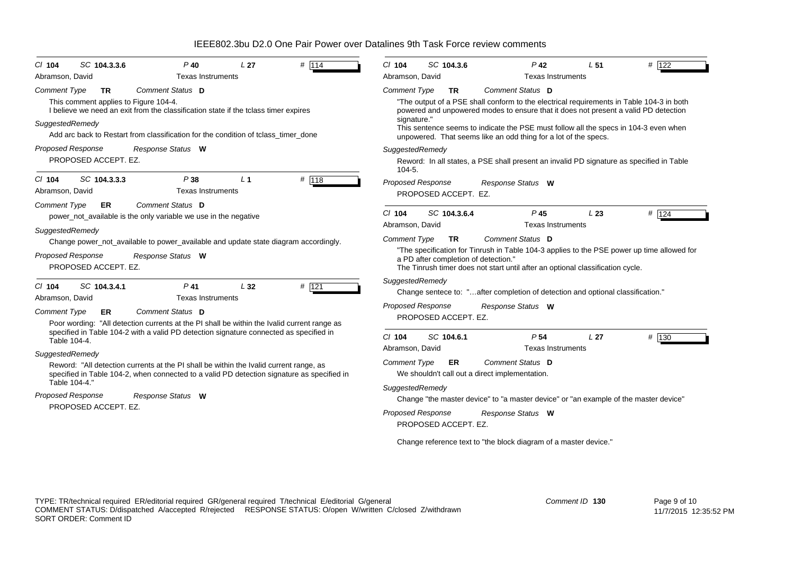| $Cl$ 104            | SC 104.3.3.6                          | $P$ 40                                                                                      | L <sub>27</sub> | # $114$ | $Cl$ 104                 | SC 104.3.6                           | $P$ 42                                                                                     | L <sub>51</sub> | # 122    |
|---------------------|---------------------------------------|---------------------------------------------------------------------------------------------|-----------------|---------|--------------------------|--------------------------------------|--------------------------------------------------------------------------------------------|-----------------|----------|
| Abramson, David     |                                       | <b>Texas Instruments</b>                                                                    |                 |         | Abramson, David          |                                      | <b>Texas Instruments</b>                                                                   |                 |          |
| <b>Comment Type</b> | <b>TR</b>                             | Comment Status D                                                                            |                 |         | <b>Comment Type</b>      | <b>TR</b>                            | Comment Status D                                                                           |                 |          |
|                     | This comment applies to Figure 104-4. |                                                                                             |                 |         |                          |                                      | "The output of a PSE shall conform to the electrical requirements in Table 104-3 in both   |                 |          |
|                     |                                       | I believe we need an exit from the classification state if the tclass timer expires         |                 |         | signature."              |                                      | powered and unpowered modes to ensure that it does not present a valid PD detection        |                 |          |
| SuggestedRemedy     |                                       |                                                                                             |                 |         |                          |                                      | This sentence seems to indicate the PSE must follow all the specs in 104-3 even when       |                 |          |
|                     |                                       | Add arc back to Restart from classification for the condition of tclass_timer_done          |                 |         |                          |                                      | unpowered. That seems like an odd thing for a lot of the specs.                            |                 |          |
|                     | <b>Proposed Response</b>              | Response Status W                                                                           |                 |         | SuggestedRemedy          |                                      |                                                                                            |                 |          |
|                     | PROPOSED ACCEPT. EZ.                  |                                                                                             |                 |         | $104 - 5.$               |                                      | Reword: In all states, a PSE shall present an invalid PD signature as specified in Table   |                 |          |
| $Cl$ 104            | SC 104.3.3.3                          | P38                                                                                         | L <sub>1</sub>  | # 118   | <b>Proposed Response</b> |                                      | Response Status W                                                                          |                 |          |
| Abramson, David     |                                       | <b>Texas Instruments</b>                                                                    |                 |         |                          | PROPOSED ACCEPT. EZ.                 |                                                                                            |                 |          |
| <b>Comment Type</b> | ER                                    | Comment Status D                                                                            |                 |         |                          |                                      |                                                                                            |                 |          |
|                     |                                       | power_not_available is the only variable we use in the negative                             |                 |         | $Cl$ 104                 | SC 104.3.6.4                         | $P$ 45                                                                                     | L23             | # $ 124$ |
| SuggestedRemedy     |                                       |                                                                                             |                 |         | Abramson, David          |                                      | <b>Texas Instruments</b>                                                                   |                 |          |
|                     |                                       | Change power_not_available to power_available and update state diagram accordingly.         |                 |         | <b>Comment Type</b>      | <b>TR</b>                            | Comment Status D                                                                           |                 |          |
|                     | Proposed Response                     | Response Status W                                                                           |                 |         |                          | a PD after completion of detection." | "The specification for Tinrush in Table 104-3 applies to the PSE power up time allowed for |                 |          |
|                     | PROPOSED ACCEPT. EZ.                  |                                                                                             |                 |         |                          |                                      | The Tinrush timer does not start until after an optional classification cycle.             |                 |          |
|                     |                                       |                                                                                             |                 |         | SuggestedRemedy          |                                      |                                                                                            |                 |          |
| $CI$ 104            | SC 104.3.4.1                          | P <sub>41</sub>                                                                             | L32             | $#$ 121 |                          |                                      | Change sentece to: "after completion of detection and optional classification."            |                 |          |
| Abramson, David     |                                       | <b>Texas Instruments</b>                                                                    |                 |         | Proposed Response        |                                      | Response Status W                                                                          |                 |          |
| <b>Comment Type</b> | ER                                    | Comment Status D                                                                            |                 |         |                          | PROPOSED ACCEPT. EZ.                 |                                                                                            |                 |          |
|                     |                                       | Poor wording: "All detection currents at the PI shall be within the Ivalid current range as |                 |         |                          |                                      |                                                                                            |                 |          |
|                     | Table 104-4.                          | specified in Table 104-2 with a valid PD detection signature connected as specified in      |                 |         | $Cl$ 104                 | SC 104.6.1                           | P <sub>54</sub>                                                                            | L <sub>27</sub> | # 130    |
| SuggestedRemedy     |                                       |                                                                                             |                 |         | Abramson, David          |                                      | <b>Texas Instruments</b>                                                                   |                 |          |
|                     |                                       | Reword: "All detection currents at the PI shall be within the Ivalid current range, as      |                 |         | <b>Comment Type</b>      | ER                                   | Comment Status D                                                                           |                 |          |
|                     |                                       | specified in Table 104-2, when connected to a valid PD detection signature as specified in  |                 |         |                          |                                      | We shouldn't call out a direct implementation.                                             |                 |          |
|                     | Table 104-4.'                         |                                                                                             |                 |         | SuggestedRemedy          |                                      |                                                                                            |                 |          |
|                     | Proposed Response                     | Response Status W                                                                           |                 |         |                          |                                      | Change "the master device" to "a master device" or "an example of the master device"       |                 |          |
|                     | PROPOSED ACCEPT. EZ.                  |                                                                                             |                 |         | Proposed Response        |                                      | Response Status W                                                                          |                 |          |
|                     |                                       |                                                                                             |                 |         |                          | PROPOSED ACCEPT. EZ.                 |                                                                                            |                 |          |
|                     |                                       |                                                                                             |                 |         |                          |                                      | Change reference text to "the block diagram of a master device."                           |                 |          |
|                     |                                       |                                                                                             |                 |         |                          |                                      |                                                                                            |                 |          |